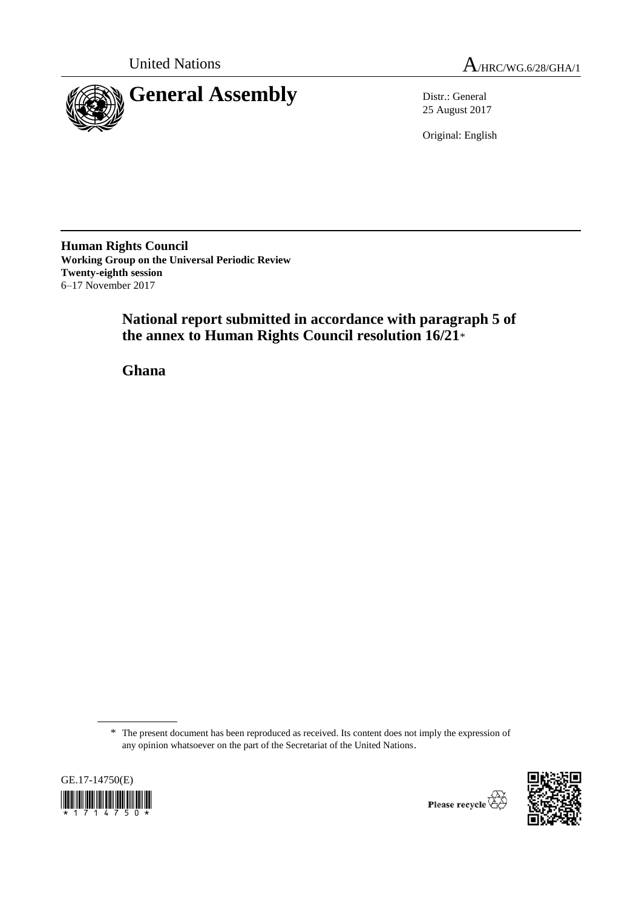

United Nations  $A_{HRC/WG.6/28/GHA/1}$ 

25 August 2017

Original: English

**Human Rights Council Working Group on the Universal Periodic Review Twenty-eighth session** 6–17 November 2017

> **National report submitted in accordance with paragraph 5 of the annex to Human Rights Council resolution 16/21**\*

**Ghana**

<sup>\*</sup> The present document has been reproduced as received. Its content does not imply the expression of any opinion whatsoever on the part of the Secretariat of the United Nations.





Please recycle  $\overleftrightarrow{C}$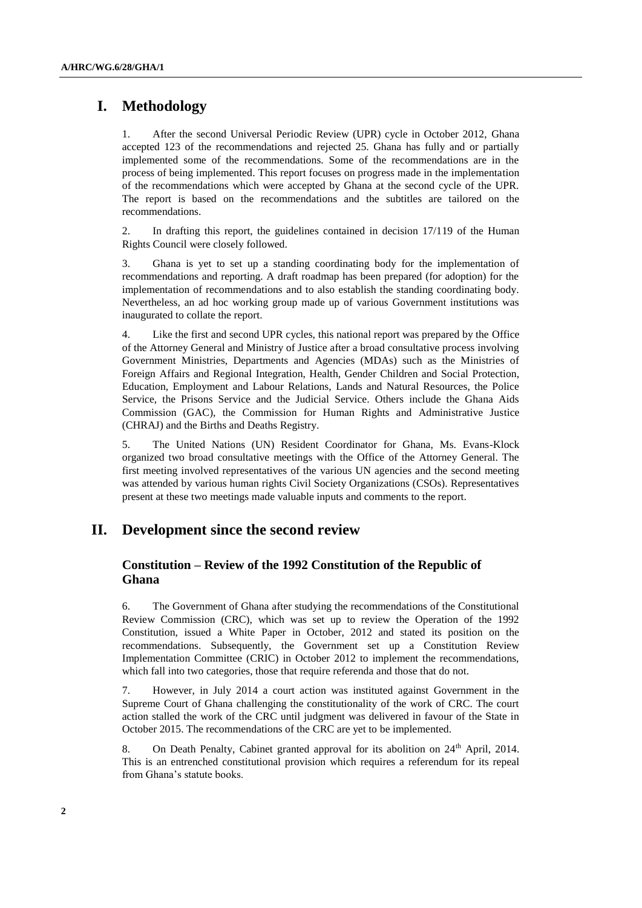# **I. Methodology**

1. After the second Universal Periodic Review (UPR) cycle in October 2012, Ghana accepted 123 of the recommendations and rejected 25. Ghana has fully and or partially implemented some of the recommendations. Some of the recommendations are in the process of being implemented. This report focuses on progress made in the implementation of the recommendations which were accepted by Ghana at the second cycle of the UPR. The report is based on the recommendations and the subtitles are tailored on the recommendations.

2. In drafting this report, the guidelines contained in decision 17/119 of the Human Rights Council were closely followed.

3. Ghana is yet to set up a standing coordinating body for the implementation of recommendations and reporting. A draft roadmap has been prepared (for adoption) for the implementation of recommendations and to also establish the standing coordinating body. Nevertheless, an ad hoc working group made up of various Government institutions was inaugurated to collate the report.

4. Like the first and second UPR cycles, this national report was prepared by the Office of the Attorney General and Ministry of Justice after a broad consultative process involving Government Ministries, Departments and Agencies (MDAs) such as the Ministries of Foreign Affairs and Regional Integration, Health, Gender Children and Social Protection, Education, Employment and Labour Relations, Lands and Natural Resources, the Police Service, the Prisons Service and the Judicial Service. Others include the Ghana Aids Commission (GAC), the Commission for Human Rights and Administrative Justice (CHRAJ) and the Births and Deaths Registry.

5. The United Nations (UN) Resident Coordinator for Ghana, Ms. Evans-Klock organized two broad consultative meetings with the Office of the Attorney General. The first meeting involved representatives of the various UN agencies and the second meeting was attended by various human rights Civil Society Organizations (CSOs). Representatives present at these two meetings made valuable inputs and comments to the report.

# **II. Development since the second review**

# **Constitution – Review of the 1992 Constitution of the Republic of Ghana**

6. The Government of Ghana after studying the recommendations of the Constitutional Review Commission (CRC), which was set up to review the Operation of the 1992 Constitution, issued a White Paper in October, 2012 and stated its position on the recommendations. Subsequently, the Government set up a Constitution Review Implementation Committee (CRIC) in October 2012 to implement the recommendations, which fall into two categories, those that require referenda and those that do not.

7. However, in July 2014 a court action was instituted against Government in the Supreme Court of Ghana challenging the constitutionality of the work of CRC. The court action stalled the work of the CRC until judgment was delivered in favour of the State in October 2015. The recommendations of the CRC are yet to be implemented.

8. On Death Penalty, Cabinet granted approval for its abolition on 24<sup>th</sup> April, 2014. This is an entrenched constitutional provision which requires a referendum for its repeal from Ghana's statute books.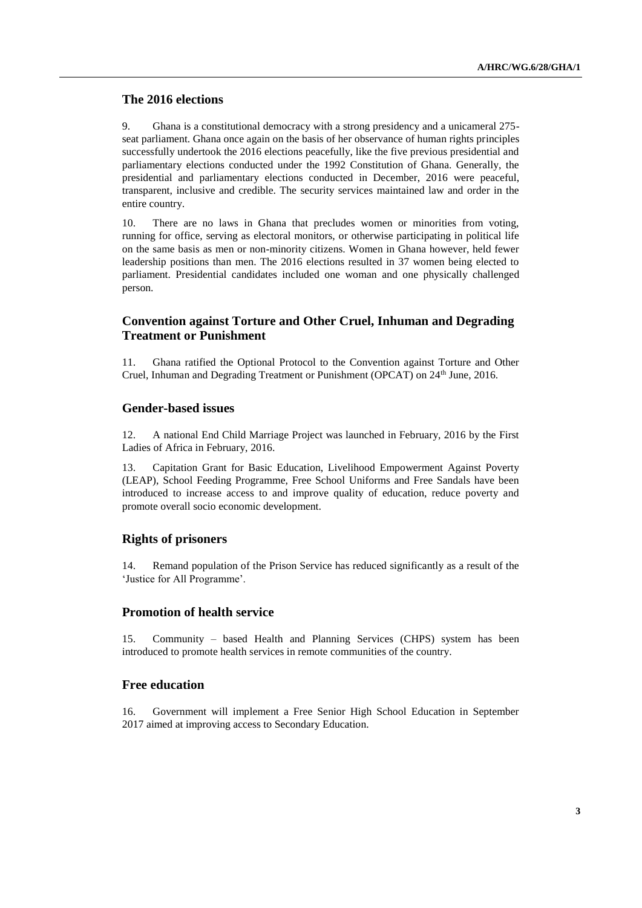### **The 2016 elections**

9. Ghana is a constitutional democracy with a strong presidency and a unicameral 275 seat parliament. Ghana once again on the basis of her observance of human rights principles successfully undertook the 2016 elections peacefully, like the five previous presidential and parliamentary elections conducted under the 1992 Constitution of Ghana. Generally, the presidential and parliamentary elections conducted in December, 2016 were peaceful, transparent, inclusive and credible. The security services maintained law and order in the entire country.

10. There are no laws in Ghana that precludes women or minorities from voting, running for office, serving as electoral monitors, or otherwise participating in political life on the same basis as men or non-minority citizens. Women in Ghana however, held fewer leadership positions than men. The 2016 elections resulted in 37 women being elected to parliament. Presidential candidates included one woman and one physically challenged person.

# **Convention against Torture and Other Cruel, Inhuman and Degrading Treatment or Punishment**

11. Ghana ratified the Optional Protocol to the Convention against Torture and Other Cruel, Inhuman and Degrading Treatment or Punishment (OPCAT) on 24<sup>th</sup> June, 2016.

#### **Gender-based issues**

12. A national End Child Marriage Project was launched in February, 2016 by the First Ladies of Africa in February, 2016.

13. Capitation Grant for Basic Education, Livelihood Empowerment Against Poverty (LEAP), School Feeding Programme, Free School Uniforms and Free Sandals have been introduced to increase access to and improve quality of education, reduce poverty and promote overall socio economic development.

### **Rights of prisoners**

14. Remand population of the Prison Service has reduced significantly as a result of the 'Justice for All Programme'.

### **Promotion of health service**

15. Community – based Health and Planning Services (CHPS) system has been introduced to promote health services in remote communities of the country.

### **Free education**

16. Government will implement a Free Senior High School Education in September 2017 aimed at improving access to Secondary Education.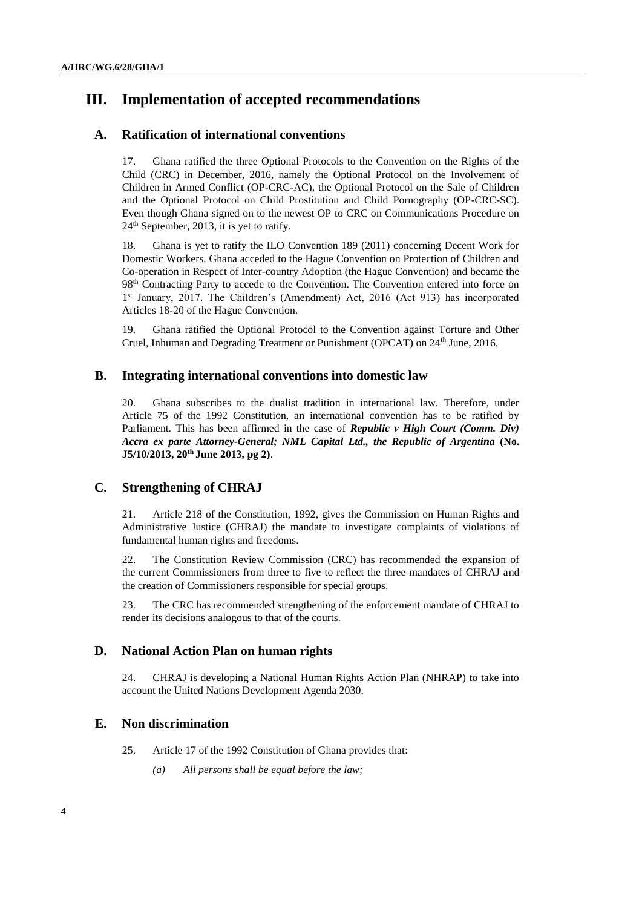# **III. Implementation of accepted recommendations**

# **A. Ratification of international conventions**

17. Ghana ratified the three Optional Protocols to the Convention on the Rights of the Child (CRC) in December, 2016, namely the Optional Protocol on the Involvement of Children in Armed Conflict (OP-CRC-AC), the Optional Protocol on the Sale of Children and the Optional Protocol on Child Prostitution and Child Pornography (OP-CRC-SC). Even though Ghana signed on to the newest OP to CRC on Communications Procedure on 24<sup>th</sup> September, 2013, it is yet to ratify.

18. Ghana is yet to ratify the ILO Convention 189 (2011) concerning Decent Work for Domestic Workers. Ghana acceded to the Hague Convention on Protection of Children and Co-operation in Respect of Inter-country Adoption (the Hague Convention) and became the 98th Contracting Party to accede to the Convention. The Convention entered into force on 1<sup>st</sup> January, 2017. The Children's (Amendment) Act, 2016 (Act 913) has incorporated Articles 18-20 of the Hague Convention.

19. Ghana ratified the Optional Protocol to the Convention against Torture and Other Cruel, Inhuman and Degrading Treatment or Punishment (OPCAT) on 24<sup>th</sup> June, 2016.

# **B. Integrating international conventions into domestic law**

20. Ghana subscribes to the dualist tradition in international law. Therefore, under Article 75 of the 1992 Constitution, an international convention has to be ratified by Parliament. This has been affirmed in the case of *Republic v High Court (Comm. Div) Accra ex parte Attorney-General; NML Capital Ltd., the Republic of Argentina* **(No. J5/10/2013, 20th June 2013, pg 2)**.

# **C. Strengthening of CHRAJ**

21. Article 218 of the Constitution, 1992, gives the Commission on Human Rights and Administrative Justice (CHRAJ) the mandate to investigate complaints of violations of fundamental human rights and freedoms.

22. The Constitution Review Commission (CRC) has recommended the expansion of the current Commissioners from three to five to reflect the three mandates of CHRAJ and the creation of Commissioners responsible for special groups.

23. The CRC has recommended strengthening of the enforcement mandate of CHRAJ to render its decisions analogous to that of the courts.

# **D. National Action Plan on human rights**

24. CHRAJ is developing a National Human Rights Action Plan (NHRAP) to take into account the United Nations Development Agenda 2030.

# **E. Non discrimination**

- 25. Article 17 of the 1992 Constitution of Ghana provides that:
	- *(a) All persons shall be equal before the law;*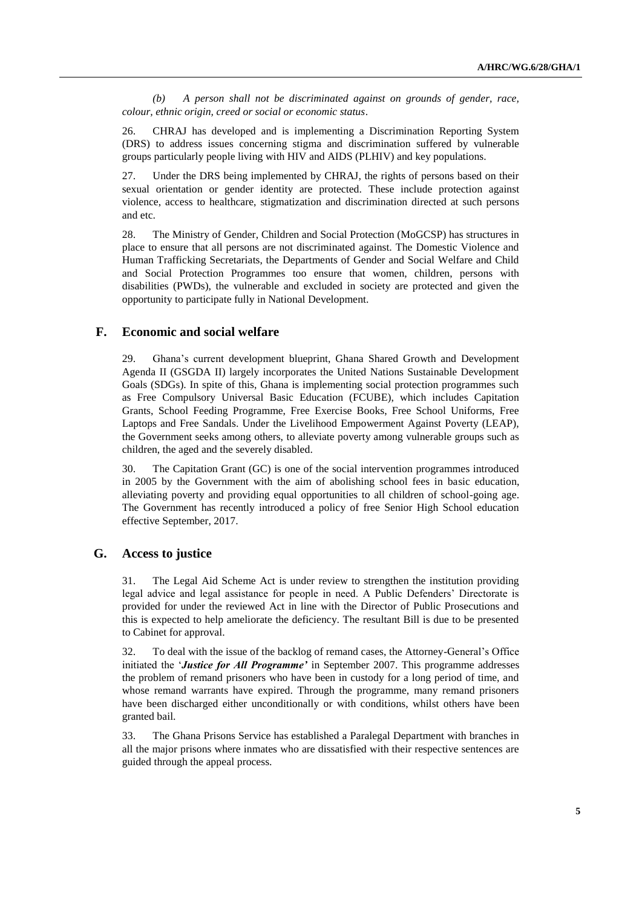*(b) A person shall not be discriminated against on grounds of gender, race, colour, ethnic origin, creed or social or economic status*.

26. CHRAJ has developed and is implementing a Discrimination Reporting System (DRS) to address issues concerning stigma and discrimination suffered by vulnerable groups particularly people living with HIV and AIDS (PLHIV) and key populations.

27. Under the DRS being implemented by CHRAJ, the rights of persons based on their sexual orientation or gender identity are protected. These include protection against violence, access to healthcare, stigmatization and discrimination directed at such persons and etc.

28. The Ministry of Gender, Children and Social Protection (MoGCSP) has structures in place to ensure that all persons are not discriminated against. The Domestic Violence and Human Trafficking Secretariats, the Departments of Gender and Social Welfare and Child and Social Protection Programmes too ensure that women, children, persons with disabilities (PWDs), the vulnerable and excluded in society are protected and given the opportunity to participate fully in National Development.

### **F. Economic and social welfare**

29. Ghana's current development blueprint, Ghana Shared Growth and Development Agenda II (GSGDA II) largely incorporates the United Nations Sustainable Development Goals (SDGs). In spite of this, Ghana is implementing social protection programmes such as Free Compulsory Universal Basic Education (FCUBE), which includes Capitation Grants, School Feeding Programme, Free Exercise Books, Free School Uniforms, Free Laptops and Free Sandals. Under the Livelihood Empowerment Against Poverty (LEAP), the Government seeks among others, to alleviate poverty among vulnerable groups such as children, the aged and the severely disabled.

30. The Capitation Grant (GC) is one of the social intervention programmes introduced in 2005 by the Government with the aim of abolishing school fees in basic education, alleviating poverty and providing equal opportunities to all children of school-going age. The Government has recently introduced a policy of free Senior High School education effective September, 2017.

### **G. Access to justice**

31. The Legal Aid Scheme Act is under review to strengthen the institution providing legal advice and legal assistance for people in need. A Public Defenders' Directorate is provided for under the reviewed Act in line with the Director of Public Prosecutions and this is expected to help ameliorate the deficiency. The resultant Bill is due to be presented to Cabinet for approval.

32. To deal with the issue of the backlog of remand cases, the Attorney-General's Office initiated the '*Justice for All Programme'* in September 2007. This programme addresses the problem of remand prisoners who have been in custody for a long period of time, and whose remand warrants have expired. Through the programme, many remand prisoners have been discharged either unconditionally or with conditions, whilst others have been granted bail.

33. The Ghana Prisons Service has established a Paralegal Department with branches in all the major prisons where inmates who are dissatisfied with their respective sentences are guided through the appeal process.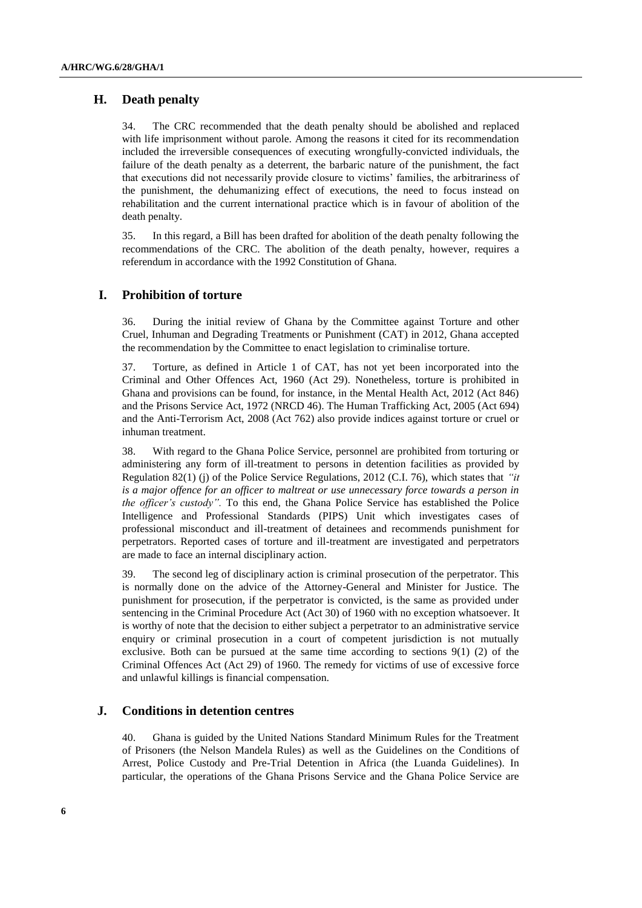# **H. Death penalty**

34. The CRC recommended that the death penalty should be abolished and replaced with life imprisonment without parole. Among the reasons it cited for its recommendation included the irreversible consequences of executing wrongfully-convicted individuals, the failure of the death penalty as a deterrent, the barbaric nature of the punishment, the fact that executions did not necessarily provide closure to victims' families, the arbitrariness of the punishment, the dehumanizing effect of executions, the need to focus instead on rehabilitation and the current international practice which is in favour of abolition of the death penalty.

35. In this regard, a Bill has been drafted for abolition of the death penalty following the recommendations of the CRC. The abolition of the death penalty, however, requires a referendum in accordance with the 1992 Constitution of Ghana.

# **I. Prohibition of torture**

36. During the initial review of Ghana by the Committee against Torture and other Cruel, Inhuman and Degrading Treatments or Punishment (CAT) in 2012, Ghana accepted the recommendation by the Committee to enact legislation to criminalise torture.

37. Torture, as defined in Article 1 of CAT, has not yet been incorporated into the Criminal and Other Offences Act, 1960 (Act 29). Nonetheless, torture is prohibited in Ghana and provisions can be found, for instance, in the Mental Health Act, 2012 (Act 846) and the Prisons Service Act, 1972 (NRCD 46). The Human Trafficking Act, 2005 (Act 694) and the Anti-Terrorism Act, 2008 (Act 762) also provide indices against torture or cruel or inhuman treatment.

38. With regard to the Ghana Police Service, personnel are prohibited from torturing or administering any form of ill-treatment to persons in detention facilities as provided by Regulation 82(1) (j) of the Police Service Regulations, 2012 (C.I. 76), which states that *"it is a major offence for an officer to maltreat or use unnecessary force towards a person in the officer's custody".* To this end, the Ghana Police Service has established the Police Intelligence and Professional Standards (PIPS) Unit which investigates cases of professional misconduct and ill-treatment of detainees and recommends punishment for perpetrators. Reported cases of torture and ill-treatment are investigated and perpetrators are made to face an internal disciplinary action.

39. The second leg of disciplinary action is criminal prosecution of the perpetrator. This is normally done on the advice of the Attorney-General and Minister for Justice. The punishment for prosecution, if the perpetrator is convicted, is the same as provided under sentencing in the Criminal Procedure Act (Act 30) of 1960 with no exception whatsoever. It is worthy of note that the decision to either subject a perpetrator to an administrative service enquiry or criminal prosecution in a court of competent jurisdiction is not mutually exclusive. Both can be pursued at the same time according to sections 9(1) (2) of the Criminal Offences Act (Act 29) of 1960*.* The remedy for victims of use of excessive force and unlawful killings is financial compensation.

#### **J. Conditions in detention centres**

40. Ghana is guided by the United Nations Standard Minimum Rules for the Treatment of Prisoners (the Nelson Mandela Rules) as well as the Guidelines on the Conditions of Arrest, Police Custody and Pre-Trial Detention in Africa (the Luanda Guidelines). In particular, the operations of the Ghana Prisons Service and the Ghana Police Service are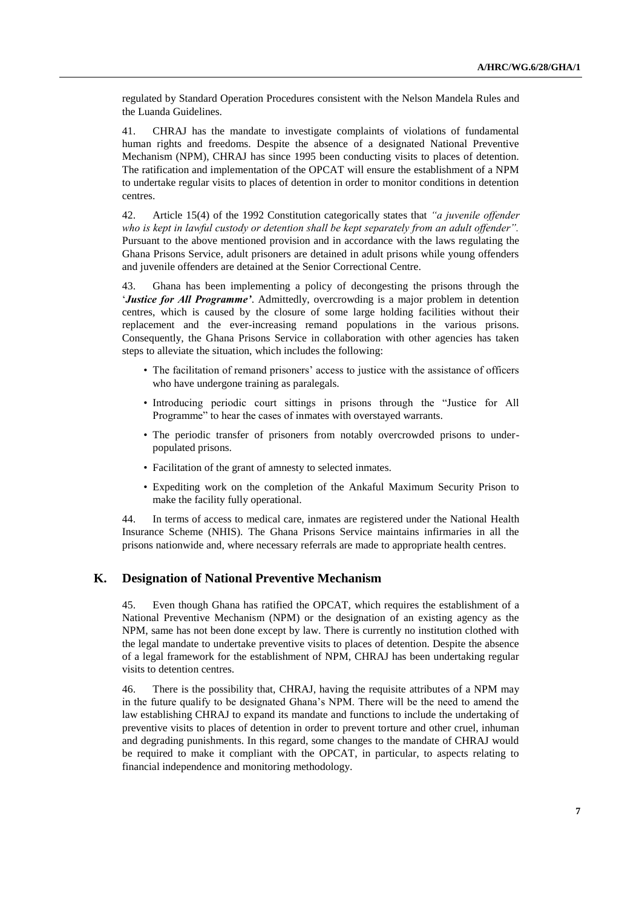regulated by Standard Operation Procedures consistent with the Nelson Mandela Rules and the Luanda Guidelines.

41. CHRAJ has the mandate to investigate complaints of violations of fundamental human rights and freedoms. Despite the absence of a designated National Preventive Mechanism (NPM), CHRAJ has since 1995 been conducting visits to places of detention. The ratification and implementation of the OPCAT will ensure the establishment of a NPM to undertake regular visits to places of detention in order to monitor conditions in detention centres.

42. Article 15(4) of the 1992 Constitution categorically states that *"a juvenile offender who is kept in lawful custody or detention shall be kept separately from an adult offender".*  Pursuant to the above mentioned provision and in accordance with the laws regulating the Ghana Prisons Service, adult prisoners are detained in adult prisons while young offenders and juvenile offenders are detained at the Senior Correctional Centre.

43. Ghana has been implementing a policy of decongesting the prisons through the '*Justice for All Programme'*. Admittedly, overcrowding is a major problem in detention centres, which is caused by the closure of some large holding facilities without their replacement and the ever-increasing remand populations in the various prisons. Consequently, the Ghana Prisons Service in collaboration with other agencies has taken steps to alleviate the situation, which includes the following:

- The facilitation of remand prisoners' access to justice with the assistance of officers who have undergone training as paralegals.
- Introducing periodic court sittings in prisons through the "Justice for All Programme" to hear the cases of inmates with overstayed warrants.
- The periodic transfer of prisoners from notably overcrowded prisons to underpopulated prisons.
- Facilitation of the grant of amnesty to selected inmates.
- Expediting work on the completion of the Ankaful Maximum Security Prison to make the facility fully operational.

44. In terms of access to medical care, inmates are registered under the National Health Insurance Scheme (NHIS). The Ghana Prisons Service maintains infirmaries in all the prisons nationwide and, where necessary referrals are made to appropriate health centres.

### **K. Designation of National Preventive Mechanism**

45. Even though Ghana has ratified the OPCAT, which requires the establishment of a National Preventive Mechanism (NPM) or the designation of an existing agency as the NPM, same has not been done except by law. There is currently no institution clothed with the legal mandate to undertake preventive visits to places of detention. Despite the absence of a legal framework for the establishment of NPM, CHRAJ has been undertaking regular visits to detention centres.

46. There is the possibility that, CHRAJ, having the requisite attributes of a NPM may in the future qualify to be designated Ghana's NPM. There will be the need to amend the law establishing CHRAJ to expand its mandate and functions to include the undertaking of preventive visits to places of detention in order to prevent torture and other cruel, inhuman and degrading punishments. In this regard, some changes to the mandate of CHRAJ would be required to make it compliant with the OPCAT, in particular, to aspects relating to financial independence and monitoring methodology.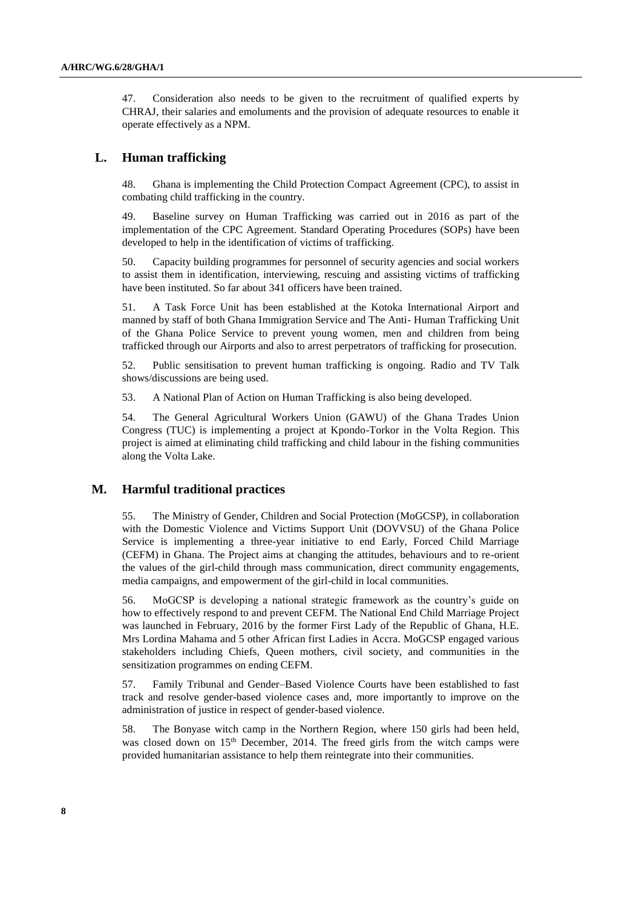47. Consideration also needs to be given to the recruitment of qualified experts by CHRAJ, their salaries and emoluments and the provision of adequate resources to enable it operate effectively as a NPM.

### **L. Human trafficking**

48. Ghana is implementing the Child Protection Compact Agreement (CPC), to assist in combating child trafficking in the country.

49. Baseline survey on Human Trafficking was carried out in 2016 as part of the implementation of the CPC Agreement. Standard Operating Procedures (SOPs) have been developed to help in the identification of victims of trafficking.

50. Capacity building programmes for personnel of security agencies and social workers to assist them in identification, interviewing, rescuing and assisting victims of trafficking have been instituted. So far about 341 officers have been trained.

51. A Task Force Unit has been established at the Kotoka International Airport and manned by staff of both Ghana Immigration Service and The Anti- Human Trafficking Unit of the Ghana Police Service to prevent young women, men and children from being trafficked through our Airports and also to arrest perpetrators of trafficking for prosecution.

52. Public sensitisation to prevent human trafficking is ongoing. Radio and TV Talk shows/discussions are being used.

53. A National Plan of Action on Human Trafficking is also being developed.

54. The General Agricultural Workers Union (GAWU) of the Ghana Trades Union Congress (TUC) is implementing a project at Kpondo-Torkor in the Volta Region. This project is aimed at eliminating child trafficking and child labour in the fishing communities along the Volta Lake.

### **M. Harmful traditional practices**

55. The Ministry of Gender, Children and Social Protection (MoGCSP), in collaboration with the Domestic Violence and Victims Support Unit (DOVVSU) of the Ghana Police Service is implementing a three-year initiative to end Early, Forced Child Marriage (CEFM) in Ghana. The Project aims at changing the attitudes, behaviours and to re-orient the values of the girl-child through mass communication, direct community engagements, media campaigns, and empowerment of the girl-child in local communities.

56. MoGCSP is developing a national strategic framework as the country's guide on how to effectively respond to and prevent CEFM. The National End Child Marriage Project was launched in February, 2016 by the former First Lady of the Republic of Ghana, H.E. Mrs Lordina Mahama and 5 other African first Ladies in Accra. MoGCSP engaged various stakeholders including Chiefs, Queen mothers, civil society, and communities in the sensitization programmes on ending CEFM.

57. Family Tribunal and Gender–Based Violence Courts have been established to fast track and resolve gender-based violence cases and, more importantly to improve on the administration of justice in respect of gender-based violence.

58. The Bonyase witch camp in the Northern Region, where 150 girls had been held, was closed down on 15<sup>th</sup> December, 2014. The freed girls from the witch camps were provided humanitarian assistance to help them reintegrate into their communities.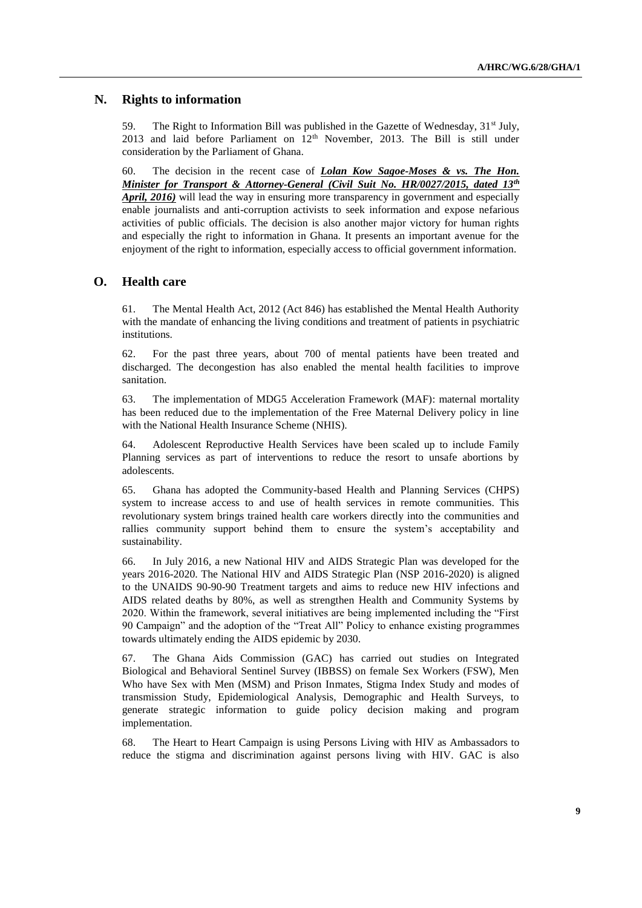### **N. Rights to information**

59. The Right to Information Bill was published in the Gazette of Wednesday,  $31<sup>st</sup>$  July, 2013 and laid before Parliament on  $12<sup>th</sup>$  November, 2013. The Bill is still under consideration by the Parliament of Ghana.

60. The decision in the recent case of *Lolan Kow Sagoe-Moses & vs. The Hon. Minister for Transport & Attorney-General (Civil Suit No. HR/0027/2015, dated 13th April, 2016)* will lead the way in ensuring more transparency in government and especially enable journalists and anti-corruption activists to seek information and expose nefarious activities of public officials. The decision is also another major victory for human rights and especially the right to information in Ghana. It presents an important avenue for the enjoyment of the right to information, especially access to official government information.

#### **O. Health care**

61. The Mental Health Act, 2012 (Act 846) has established the Mental Health Authority with the mandate of enhancing the living conditions and treatment of patients in psychiatric institutions.

62. For the past three years, about 700 of mental patients have been treated and discharged. The decongestion has also enabled the mental health facilities to improve sanitation.

63. The implementation of MDG5 Acceleration Framework (MAF): maternal mortality has been reduced due to the implementation of the Free Maternal Delivery policy in line with the National Health Insurance Scheme (NHIS).

64. Adolescent Reproductive Health Services have been scaled up to include Family Planning services as part of interventions to reduce the resort to unsafe abortions by adolescents.

65. Ghana has adopted the Community-based Health and Planning Services (CHPS) system to increase access to and use of health services in remote communities. This revolutionary system brings trained health care workers directly into the communities and rallies community support behind them to ensure the system's acceptability and sustainability.

66. In July 2016, a new National HIV and AIDS Strategic Plan was developed for the years 2016-2020. The National HIV and AIDS Strategic Plan (NSP 2016-2020) is aligned to the UNAIDS 90-90-90 Treatment targets and aims to reduce new HIV infections and AIDS related deaths by 80%, as well as strengthen Health and Community Systems by 2020. Within the framework, several initiatives are being implemented including the "First 90 Campaign" and the adoption of the "Treat All" Policy to enhance existing programmes towards ultimately ending the AIDS epidemic by 2030.

67. The Ghana Aids Commission (GAC) has carried out studies on Integrated Biological and Behavioral Sentinel Survey (IBBSS) on female Sex Workers (FSW), Men Who have Sex with Men (MSM) and Prison Inmates, Stigma Index Study and modes of transmission Study, Epidemiological Analysis, Demographic and Health Surveys, to generate strategic information to guide policy decision making and program implementation.

68. The Heart to Heart Campaign is using Persons Living with HIV as Ambassadors to reduce the stigma and discrimination against persons living with HIV. GAC is also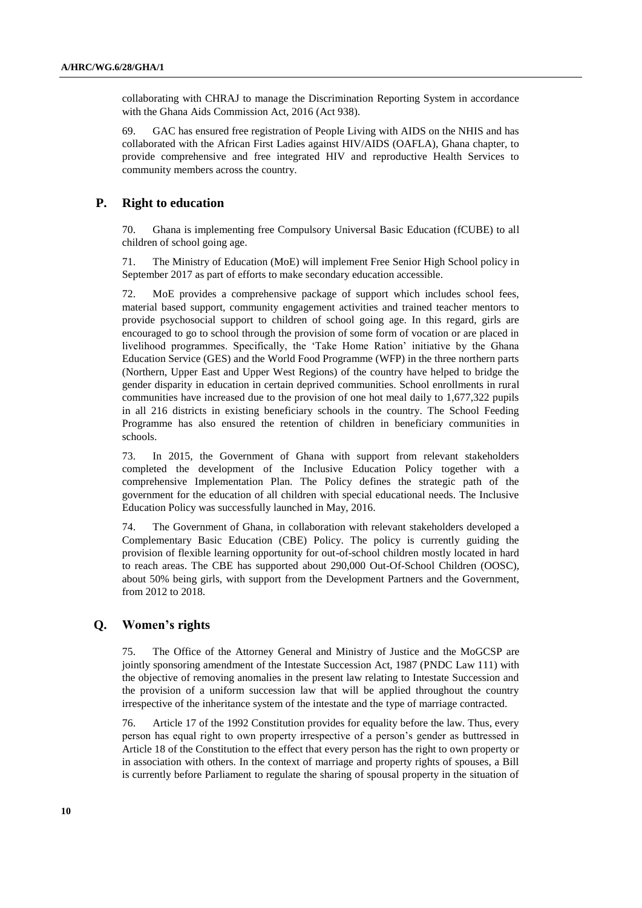collaborating with CHRAJ to manage the Discrimination Reporting System in accordance with the Ghana Aids Commission Act, 2016 (Act 938).

69. GAC has ensured free registration of People Living with AIDS on the NHIS and has collaborated with the African First Ladies against HIV/AIDS (OAFLA), Ghana chapter, to provide comprehensive and free integrated HIV and reproductive Health Services to community members across the country.

#### **P. Right to education**

70. Ghana is implementing free Compulsory Universal Basic Education (fCUBE) to all children of school going age.

71. The Ministry of Education (MoE) will implement Free Senior High School policy in September 2017 as part of efforts to make secondary education accessible.

72. MoE provides a comprehensive package of support which includes school fees, material based support, community engagement activities and trained teacher mentors to provide psychosocial support to children of school going age. In this regard, girls are encouraged to go to school through the provision of some form of vocation or are placed in livelihood programmes. Specifically, the 'Take Home Ration' initiative by the Ghana Education Service (GES) and the World Food Programme (WFP) in the three northern parts (Northern, Upper East and Upper West Regions) of the country have helped to bridge the gender disparity in education in certain deprived communities. School enrollments in rural communities have increased due to the provision of one hot meal daily to 1,677,322 pupils in all 216 districts in existing beneficiary schools in the country. The School Feeding Programme has also ensured the retention of children in beneficiary communities in schools.

73. In 2015, the Government of Ghana with support from relevant stakeholders completed the development of the Inclusive Education Policy together with a comprehensive Implementation Plan. The Policy defines the strategic path of the government for the education of all children with special educational needs. The Inclusive Education Policy was successfully launched in May, 2016.

74. The Government of Ghana, in collaboration with relevant stakeholders developed a Complementary Basic Education (CBE) Policy. The policy is currently guiding the provision of flexible learning opportunity for out-of-school children mostly located in hard to reach areas. The CBE has supported about 290,000 Out-Of-School Children (OOSC), about 50% being girls, with support from the Development Partners and the Government, from 2012 to 2018.

# **Q. Women's rights**

75. The Office of the Attorney General and Ministry of Justice and the MoGCSP are jointly sponsoring amendment of the Intestate Succession Act, 1987 (PNDC Law 111) with the objective of removing anomalies in the present law relating to Intestate Succession and the provision of a uniform succession law that will be applied throughout the country irrespective of the inheritance system of the intestate and the type of marriage contracted.

76. Article 17 of the 1992 Constitution provides for equality before the law. Thus, every person has equal right to own property irrespective of a person's gender as buttressed in Article 18 of the Constitution to the effect that every person has the right to own property or in association with others. In the context of marriage and property rights of spouses, a Bill is currently before Parliament to regulate the sharing of spousal property in the situation of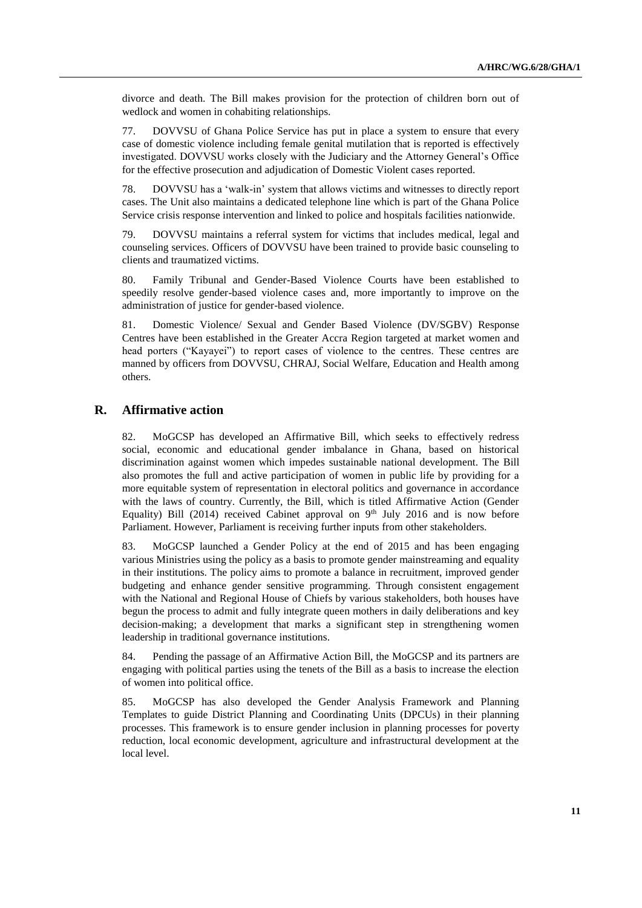divorce and death. The Bill makes provision for the protection of children born out of wedlock and women in cohabiting relationships.

77. DOVVSU of Ghana Police Service has put in place a system to ensure that every case of domestic violence including female genital mutilation that is reported is effectively investigated. DOVVSU works closely with the Judiciary and the Attorney General's Office for the effective prosecution and adjudication of Domestic Violent cases reported.

78. DOVVSU has a 'walk-in' system that allows victims and witnesses to directly report cases. The Unit also maintains a dedicated telephone line which is part of the Ghana Police Service crisis response intervention and linked to police and hospitals facilities nationwide.

79. DOVVSU maintains a referral system for victims that includes medical, legal and counseling services. Officers of DOVVSU have been trained to provide basic counseling to clients and traumatized victims.

80. Family Tribunal and Gender-Based Violence Courts have been established to speedily resolve gender-based violence cases and, more importantly to improve on the administration of justice for gender-based violence.

81. Domestic Violence/ Sexual and Gender Based Violence (DV/SGBV) Response Centres have been established in the Greater Accra Region targeted at market women and head porters ("Kayayei") to report cases of violence to the centres. These centres are manned by officers from DOVVSU, CHRAJ, Social Welfare, Education and Health among others.

### **R. Affirmative action**

82. MoGCSP has developed an Affirmative Bill, which seeks to effectively redress social, economic and educational gender imbalance in Ghana, based on historical discrimination against women which impedes sustainable national development. The Bill also promotes the full and active participation of women in public life by providing for a more equitable system of representation in electoral politics and governance in accordance with the laws of country. Currently, the Bill, which is titled Affirmative Action (Gender Equality) Bill (2014) received Cabinet approval on  $9<sup>th</sup>$  July 2016 and is now before Parliament. However, Parliament is receiving further inputs from other stakeholders.

83. MoGCSP launched a Gender Policy at the end of 2015 and has been engaging various Ministries using the policy as a basis to promote gender mainstreaming and equality in their institutions. The policy aims to promote a balance in recruitment, improved gender budgeting and enhance gender sensitive programming. Through consistent engagement with the National and Regional House of Chiefs by various stakeholders, both houses have begun the process to admit and fully integrate queen mothers in daily deliberations and key decision-making; a development that marks a significant step in strengthening women leadership in traditional governance institutions.

84. Pending the passage of an Affirmative Action Bill, the MoGCSP and its partners are engaging with political parties using the tenets of the Bill as a basis to increase the election of women into political office.

85. MoGCSP has also developed the Gender Analysis Framework and Planning Templates to guide District Planning and Coordinating Units (DPCUs) in their planning processes. This framework is to ensure gender inclusion in planning processes for poverty reduction, local economic development, agriculture and infrastructural development at the local level.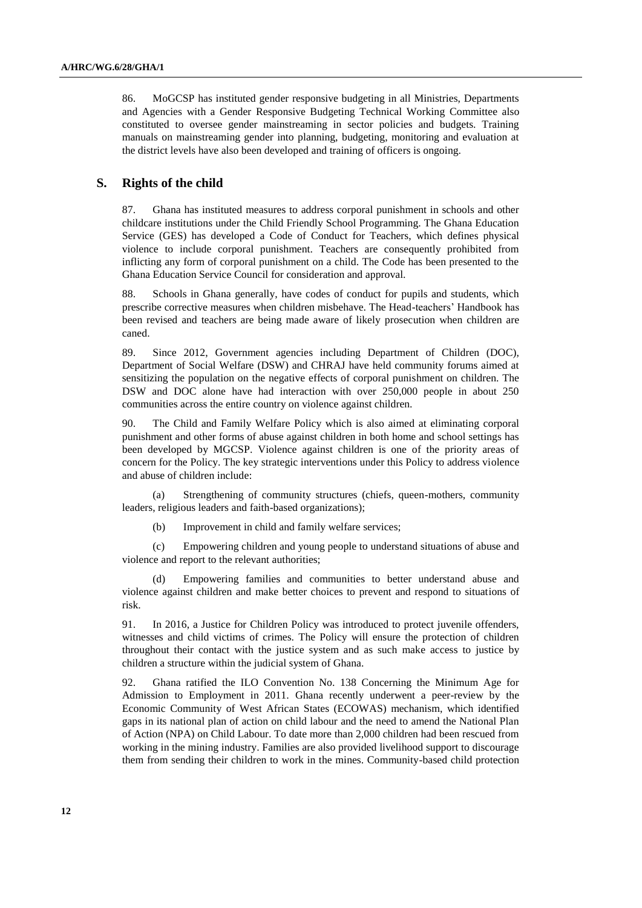86. MoGCSP has instituted gender responsive budgeting in all Ministries, Departments and Agencies with a Gender Responsive Budgeting Technical Working Committee also constituted to oversee gender mainstreaming in sector policies and budgets. Training manuals on mainstreaming gender into planning, budgeting, monitoring and evaluation at the district levels have also been developed and training of officers is ongoing.

### **S. Rights of the child**

87. Ghana has instituted measures to address corporal punishment in schools and other childcare institutions under the Child Friendly School Programming. The Ghana Education Service (GES) has developed a Code of Conduct for Teachers, which defines physical violence to include corporal punishment. Teachers are consequently prohibited from inflicting any form of corporal punishment on a child. The Code has been presented to the Ghana Education Service Council for consideration and approval.

88. Schools in Ghana generally, have codes of conduct for pupils and students, which prescribe corrective measures when children misbehave. The Head-teachers' Handbook has been revised and teachers are being made aware of likely prosecution when children are caned.

89. Since 2012, Government agencies including Department of Children (DOC), Department of Social Welfare (DSW) and CHRAJ have held community forums aimed at sensitizing the population on the negative effects of corporal punishment on children. The DSW and DOC alone have had interaction with over 250,000 people in about 250 communities across the entire country on violence against children.

90. The Child and Family Welfare Policy which is also aimed at eliminating corporal punishment and other forms of abuse against children in both home and school settings has been developed by MGCSP. Violence against children is one of the priority areas of concern for the Policy. The key strategic interventions under this Policy to address violence and abuse of children include:

(a) Strengthening of community structures (chiefs, queen-mothers, community leaders, religious leaders and faith-based organizations);

(b) Improvement in child and family welfare services;

(c) Empowering children and young people to understand situations of abuse and violence and report to the relevant authorities;

Empowering families and communities to better understand abuse and violence against children and make better choices to prevent and respond to situations of risk.

91. In 2016, a Justice for Children Policy was introduced to protect juvenile offenders, witnesses and child victims of crimes. The Policy will ensure the protection of children throughout their contact with the justice system and as such make access to justice by children a structure within the judicial system of Ghana.

92. Ghana ratified the ILO Convention No. 138 Concerning the Minimum Age for Admission to Employment in 2011. Ghana recently underwent a peer-review by the Economic Community of West African States (ECOWAS) mechanism, which identified gaps in its national plan of action on child labour and the need to amend the National Plan of Action (NPA) on Child Labour. To date more than 2,000 children had been rescued from working in the mining industry. Families are also provided livelihood support to discourage them from sending their children to work in the mines. Community-based child protection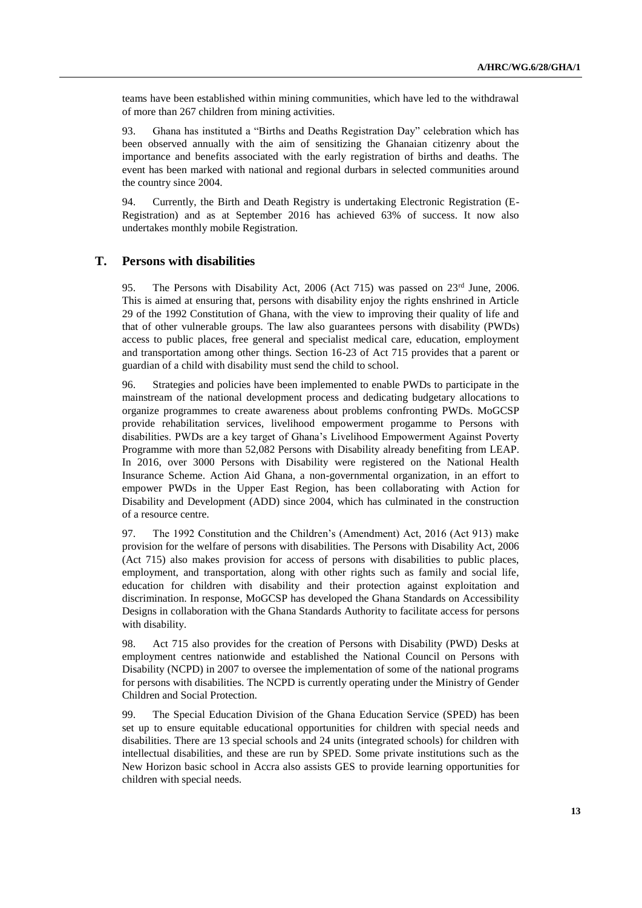teams have been established within mining communities, which have led to the withdrawal of more than 267 children from mining activities.

93. Ghana has instituted a "Births and Deaths Registration Day" celebration which has been observed annually with the aim of sensitizing the Ghanaian citizenry about the importance and benefits associated with the early registration of births and deaths. The event has been marked with national and regional durbars in selected communities around the country since 2004.

94. Currently, the Birth and Death Registry is undertaking Electronic Registration (E-Registration) and as at September 2016 has achieved 63% of success. It now also undertakes monthly mobile Registration.

#### **T. Persons with disabilities**

95. The Persons with Disability Act, 2006 (Act 715) was passed on  $23<sup>rd</sup>$  June, 2006. This is aimed at ensuring that, persons with disability enjoy the rights enshrined in Article 29 of the 1992 Constitution of Ghana, with the view to improving their quality of life and that of other vulnerable groups. The law also guarantees persons with disability (PWDs) access to public places, free general and specialist medical care, education, employment and transportation among other things. Section 16-23 of Act 715 provides that a parent or guardian of a child with disability must send the child to school.

96. Strategies and policies have been implemented to enable PWDs to participate in the mainstream of the national development process and dedicating budgetary allocations to organize programmes to create awareness about problems confronting PWDs. MoGCSP provide rehabilitation services, livelihood empowerment progamme to Persons with disabilities. PWDs are a key target of Ghana's Livelihood Empowerment Against Poverty Programme with more than 52,082 Persons with Disability already benefiting from LEAP. In 2016, over 3000 Persons with Disability were registered on the National Health Insurance Scheme. Action Aid Ghana, a non-governmental organization, in an effort to empower PWDs in the Upper East Region, has been collaborating with Action for Disability and Development (ADD) since 2004, which has culminated in the construction of a resource centre.

97. The 1992 Constitution and the Children's (Amendment) Act, 2016 (Act 913) make provision for the welfare of persons with disabilities. The Persons with Disability Act, 2006 (Act 715) also makes provision for access of persons with disabilities to public places, employment, and transportation, along with other rights such as family and social life, education for children with disability and their protection against exploitation and discrimination. In response, MoGCSP has developed the Ghana Standards on Accessibility Designs in collaboration with the Ghana Standards Authority to facilitate access for persons with disability.

98. Act 715 also provides for the creation of Persons with Disability (PWD) Desks at employment centres nationwide and established the National Council on Persons with Disability (NCPD) in 2007 to oversee the implementation of some of the national programs for persons with disabilities. The NCPD is currently operating under the Ministry of Gender Children and Social Protection.

99. The Special Education Division of the Ghana Education Service (SPED) has been set up to ensure equitable educational opportunities for children with special needs and disabilities. There are 13 special schools and 24 units (integrated schools) for children with intellectual disabilities, and these are run by SPED. Some private institutions such as the New Horizon basic school in Accra also assists GES to provide learning opportunities for children with special needs.